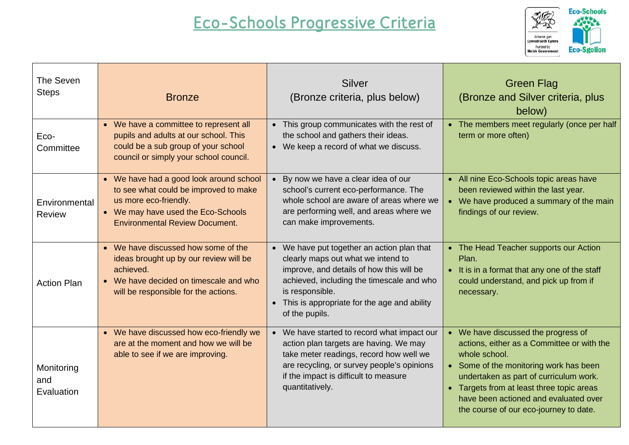## **Eco-Schools Progressive Criteria**



| The Seven<br><b>Steps</b>       | <b>Bronze</b>                                                                                                                                                                            | <b>Silver</b><br>(Bronze criteria, plus below)                                                                                                                                                                                                                  | <b>Green Flag</b><br>(Bronze and Silver criteria, plus<br>below)                                                                                                                                                                                                                                                                  |
|---------------------------------|------------------------------------------------------------------------------------------------------------------------------------------------------------------------------------------|-----------------------------------------------------------------------------------------------------------------------------------------------------------------------------------------------------------------------------------------------------------------|-----------------------------------------------------------------------------------------------------------------------------------------------------------------------------------------------------------------------------------------------------------------------------------------------------------------------------------|
| Eco-<br>Committee               | • We have a committee to represent all<br>pupils and adults at our school. This<br>could be a sub group of your school<br>council or simply your school council.                         | • This group communicates with the rest of<br>the school and gathers their ideas.<br>• We keep a record of what we discuss.                                                                                                                                     | • The members meet regularly (once per half<br>term or more often)                                                                                                                                                                                                                                                                |
| Environmental<br><b>Review</b>  | • We have had a good look around school<br>to see what could be improved to make<br>us more eco-friendly.<br>• We may have used the Eco-Schools<br><b>Environmental Review Document.</b> | • By now we have a clear idea of our<br>school's current eco-performance. The<br>whole school are aware of areas where we<br>are performing well, and areas where we<br>can make improvements.                                                                  | • All nine Eco-Schools topic areas have<br>been reviewed within the last year.<br>• We have produced a summary of the main<br>findings of our review.                                                                                                                                                                             |
| <b>Action Plan</b>              | • We have discussed how some of the<br>ideas brought up by our review will be<br>achieved.<br>• We have decided on timescale and who<br>will be responsible for the actions.             | • We have put together an action plan that<br>clearly maps out what we intend to<br>improve, and details of how this will be<br>achieved, including the timescale and who<br>is responsible.<br>• This is appropriate for the age and ability<br>of the pupils. | The Head Teacher supports our Action<br>Plan.<br>• It is in a format that any one of the staff<br>could understand, and pick up from if<br>necessary.                                                                                                                                                                             |
| Monitoring<br>and<br>Evaluation | • We have discussed how eco-friendly we<br>are at the moment and how we will be<br>able to see if we are improving.                                                                      | • We have started to record what impact our<br>action plan targets are having. We may<br>take meter readings, record how well we<br>are recycling, or survey people's opinions<br>if the impact is difficult to measure<br>quantitatively.                      | • We have discussed the progress of<br>actions, either as a Committee or with the<br>whole school.<br>• Some of the monitoring work has been<br>undertaken as part of curriculum work.<br>Targets from at least three topic areas<br>$\bullet$<br>have been actioned and evaluated over<br>the course of our eco-journey to date. |